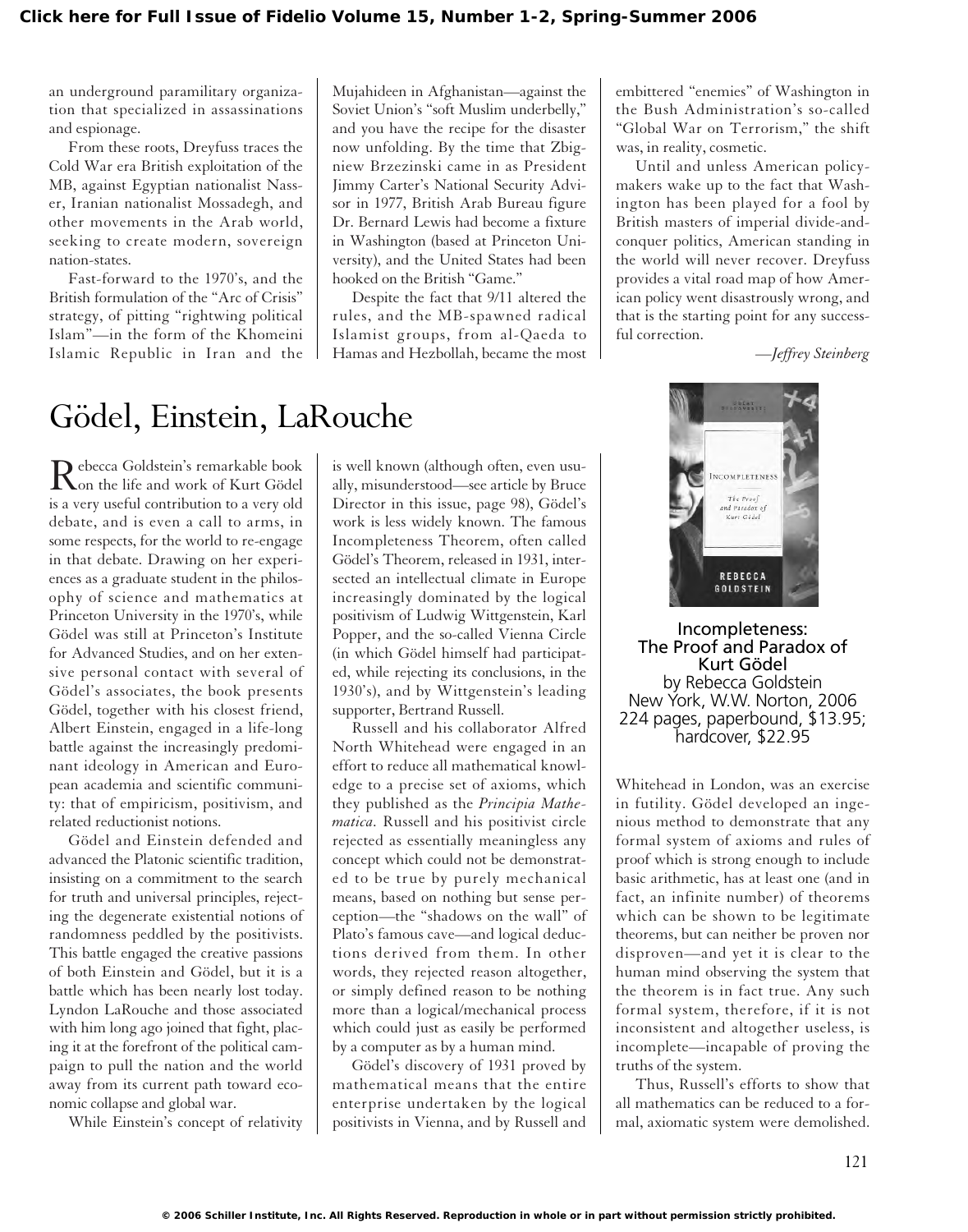an underground paramilitary organization that specialized in assassinations and espionage.

From these roots, Dreyfuss traces the Cold War era British exploitation of the MB, against Egyptian nationalist Nasser, Iranian nationalist Mossadegh, and other movements in the Arab world, seeking to create modern, sovereign nation-states.

Fast-forward to the 1970's, and the British formulation of the "Arc of Crisis" strategy, of pitting "rightwing political Islam"—in the form of the Khomeini Islamic Republic in Iran and the Mujahideen in Afghanistan—against the Soviet Union's "soft Muslim underbelly," and you have the recipe for the disaster now unfolding. By the time that Zbigniew Brzezinski came in as President Jimmy Carter's National Security Advisor in 1977, British Arab Bureau figure Dr. Bernard Lewis had become a fixture in Washington (based at Princeton University), and the United States had been hooked on the British "Game."

Despite the fact that 9/11 altered the rules, and the MB-spawned radical Islamist groups, from al-Qaeda to Hamas and Hezbollah, became the most embittered "enemies" of Washington in the Bush Administration's so-called "Global War on Terrorism," the shift was, in reality, cosmetic.

Until and unless American policymakers wake up to the fact that Washington has been played for a fool by British masters of imperial divide-andconquer politics, American standing in the world will never recover. Dreyfuss provides a vital road map of how American policy went disastrously wrong, and that is the starting point for any successful correction.

*—Jeffrey Steinberg*

## Gödel, Einstein, LaRouche

Rebecca Goldstein's remarkable book<br>
on the life and work of Kurt Gödel is a very useful contribution to a very old debate, and is even a call to arms, in some respects, for the world to re-engage in that debate. Drawing on her experiences as a graduate student in the philosophy of science and mathematics at Princeton University in the 1970's, while Gödel was still at Princeton's Institute for Advanced Studies, and on her extensive personal contact with several of Gödel's associates, the book presents Gödel, together with his closest friend, Albert Einstein, engaged in a life-long battle against the increasingly predominant ideology in American and European academia and scientific community: that of empiricism, positivism, and related reductionist notions.

Gödel and Einstein defended and advanced the Platonic scientific tradition, insisting on a commitment to the search for truth and universal principles, rejecting the degenerate existential notions of randomness peddled by the positivists. This battle engaged the creative passions of both Einstein and Gödel, but it is a battle which has been nearly lost today. Lyndon LaRouche and those associated with him long ago joined that fight, placing it at the forefront of the political campaign to pull the nation and the world away from its current path toward economic collapse and global war.

While Einstein's concept of relativity

is well known (although often, even usually, misunderstood—see article by Bruce Director in this issue, page 98), Gödel's work is less widely known. The famous Incompleteness Theorem, often called Gödel's Theorem, released in 1931, intersected an intellectual climate in Europe increasingly dominated by the logical positivism of Ludwig Wittgenstein, Karl Popper, and the so-called Vienna Circle (in which Gödel himself had participated, while rejecting its conclusions, in the 1930's), and by Wittgenstein's leading supporter, Bertrand Russell.

Russell and his collaborator Alfred North Whitehead were engaged in an effort to reduce all mathematical knowledge to a precise set of axioms, which they published as the *Principia Mathematica.* Russell and his positivist circle rejected as essentially meaningless any concept which could not be demonstrated to be true by purely mechanical means, based on nothing but sense perception—the "shadows on the wall" of Plato's famous cave—and logical deductions derived from them. In other words, they rejected reason altogether, or simply defined reason to be nothing more than a logical/mechanical process which could just as easily be performed by a computer as by a human mind.

Gödel's discovery of 1931 proved by mathematical means that the entire enterprise undertaken by the logical positivists in Vienna, and by Russell and



Incompleteness: The Proof and Paradox of Kurt Gödel by Rebecca Goldstein New York, W.W. Norton, 2006 224 pages, paperbound, \$13.95; hardcover, \$22.95

Whitehead in London, was an exercise in futility. Gödel developed an ingenious method to demonstrate that any formal system of axioms and rules of proof which is strong enough to include basic arithmetic, has at least one (and in fact, an infinite number) of theorems which can be shown to be legitimate theorems, but can neither be proven nor disproven—and yet it is clear to the human mind observing the system that the theorem is in fact true. Any such formal system, therefore, if it is not inconsistent and altogether useless, is incomplete—incapable of proving the truths of the system.

Thus, Russell's efforts to show that all mathematics can be reduced to a formal, axiomatic system were demolished.